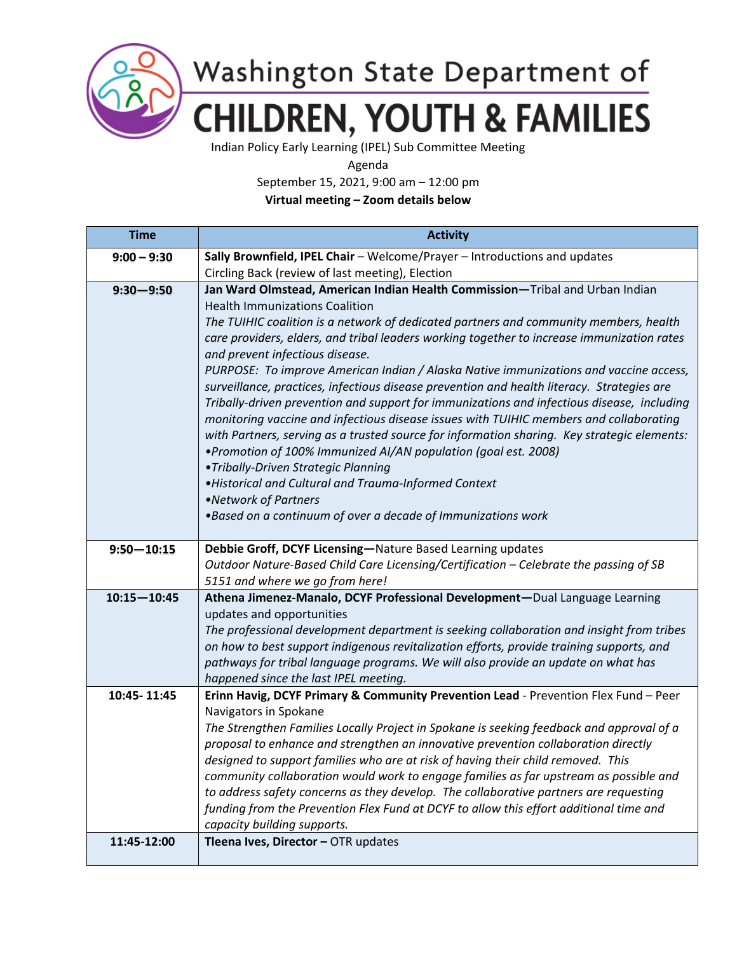

Washington State Department of **CHILDREN, YOUTH & FAMILIES** 

Indian Policy Early Learning (IPEL) Sub Committee Meeting

Agenda

September 15, 2021, 9:00 am – 12:00 pm

**Virtual meeting – Zoom details below**

| <b>Time</b>     | <b>Activity</b>                                                                                                       |
|-----------------|-----------------------------------------------------------------------------------------------------------------------|
| $9:00 - 9:30$   | Sally Brownfield, IPEL Chair - Welcome/Prayer - Introductions and updates                                             |
|                 | Circling Back (review of last meeting), Election                                                                      |
| $9:30 - 9:50$   | Jan Ward Olmstead, American Indian Health Commission-Tribal and Urban Indian                                          |
|                 | <b>Health Immunizations Coalition</b>                                                                                 |
|                 | The TUIHIC coalition is a network of dedicated partners and community members, health                                 |
|                 | care providers, elders, and tribal leaders working together to increase immunization rates                            |
|                 | and prevent infectious disease.                                                                                       |
|                 | PURPOSE: To improve American Indian / Alaska Native immunizations and vaccine access,                                 |
|                 | surveillance, practices, infectious disease prevention and health literacy. Strategies are                            |
|                 | Tribally-driven prevention and support for immunizations and infectious disease, including                            |
|                 | monitoring vaccine and infectious disease issues with TUIHIC members and collaborating                                |
|                 | with Partners, serving as a trusted source for information sharing. Key strategic elements:                           |
|                 | . Promotion of 100% Immunized AI/AN population (goal est. 2008)                                                       |
|                 | • Tribally-Driven Strategic Planning<br>. Historical and Cultural and Trauma-Informed Context                         |
|                 | •Network of Partners                                                                                                  |
|                 | . Based on a continuum of over a decade of Immunizations work                                                         |
|                 |                                                                                                                       |
| $9:50 - 10:15$  | Debbie Groff, DCYF Licensing-Nature Based Learning updates                                                            |
|                 | Outdoor Nature-Based Child Care Licensing/Certification - Celebrate the passing of SB                                 |
|                 | 5151 and where we go from here!                                                                                       |
| $10:15 - 10:45$ | Athena Jimenez-Manalo, DCYF Professional Development-Dual Language Learning                                           |
|                 | updates and opportunities                                                                                             |
|                 | The professional development department is seeking collaboration and insight from tribes                              |
|                 | on how to best support indigenous revitalization efforts, provide training supports, and                              |
|                 | pathways for tribal language programs. We will also provide an update on what has                                     |
|                 | happened since the last IPEL meeting.                                                                                 |
| 10:45-11:45     | Erinn Havig, DCYF Primary & Community Prevention Lead - Prevention Flex Fund - Peer                                   |
|                 | Navigators in Spokane                                                                                                 |
|                 | The Strengthen Families Locally Project in Spokane is seeking feedback and approval of a                              |
|                 | proposal to enhance and strengthen an innovative prevention collaboration directly                                    |
|                 | designed to support families who are at risk of having their child removed. This                                      |
|                 | community collaboration would work to engage families as far upstream as possible and                                 |
|                 | to address safety concerns as they develop. The collaborative partners are requesting                                 |
|                 | funding from the Prevention Flex Fund at DCYF to allow this effort additional time and<br>capacity building supports. |
| 11:45-12:00     | Tleena Ives, Director - OTR updates                                                                                   |
|                 |                                                                                                                       |